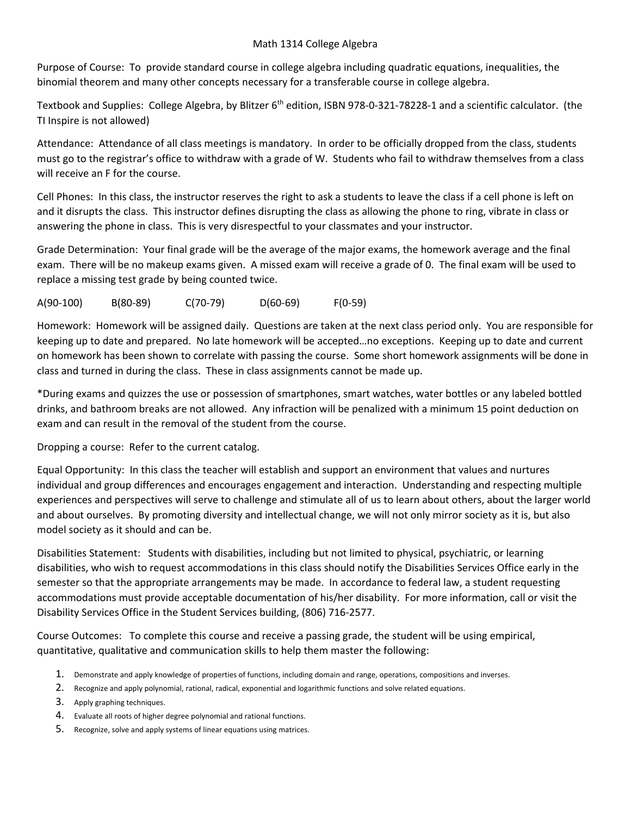## Math 1314 College Algebra

Purpose of Course: To provide standard course in college algebra including quadratic equations, inequalities, the binomial theorem and many other concepts necessary for a transferable course in college algebra.

Textbook and Supplies: College Algebra, by Blitzer 6<sup>th</sup> edition, ISBN 978-0-321-78228-1 and a scientific calculator. (the TI Inspire is not allowed)

Attendance: Attendance of all class meetings is mandatory. In order to be officially dropped from the class, students must go to the registrar's office to withdraw with a grade of W. Students who fail to withdraw themselves from a class will receive an F for the course.

Cell Phones: In this class, the instructor reserves the right to ask a students to leave the class if a cell phone is left on and it disrupts the class. This instructor defines disrupting the class as allowing the phone to ring, vibrate in class or answering the phone in class. This is very disrespectful to your classmates and your instructor.

Grade Determination: Your final grade will be the average of the major exams, the homework average and the final exam. There will be no makeup exams given. A missed exam will receive a grade of 0. The final exam will be used to replace a missing test grade by being counted twice.

A(90‐100) B(80‐89) C(70‐79) D(60‐69) F(0‐59)

Homework: Homework will be assigned daily. Questions are taken at the next class period only. You are responsible for keeping up to date and prepared. No late homework will be accepted…no exceptions. Keeping up to date and current on homework has been shown to correlate with passing the course. Some short homework assignments will be done in class and turned in during the class. These in class assignments cannot be made up.

\*During exams and quizzes the use or possession of smartphones, smart watches, water bottles or any labeled bottled drinks, and bathroom breaks are not allowed. Any infraction will be penalized with a minimum 15 point deduction on exam and can result in the removal of the student from the course.

Dropping a course: Refer to the current catalog.

Equal Opportunity: In this class the teacher will establish and support an environment that values and nurtures individual and group differences and encourages engagement and interaction. Understanding and respecting multiple experiences and perspectives will serve to challenge and stimulate all of us to learn about others, about the larger world and about ourselves. By promoting diversity and intellectual change, we will not only mirror society as it is, but also model society as it should and can be.

Disabilities Statement: Students with disabilities, including but not limited to physical, psychiatric, or learning disabilities, who wish to request accommodations in this class should notify the Disabilities Services Office early in the semester so that the appropriate arrangements may be made. In accordance to federal law, a student requesting accommodations must provide acceptable documentation of his/her disability. For more information, call or visit the Disability Services Office in the Student Services building, (806) 716‐2577.

Course Outcomes: To complete this course and receive a passing grade, the student will be using empirical, quantitative, qualitative and communication skills to help them master the following:

- 1. Demonstrate and apply knowledge of properties of functions, including domain and range, operations, compositions and inverses.
- 2. Recognize and apply polynomial, rational, radical, exponential and logarithmic functions and solve related equations.
- 3. Apply graphing techniques.
- 4. Evaluate all roots of higher degree polynomial and rational functions.
- 5. Recognize, solve and apply systems of linear equations using matrices.